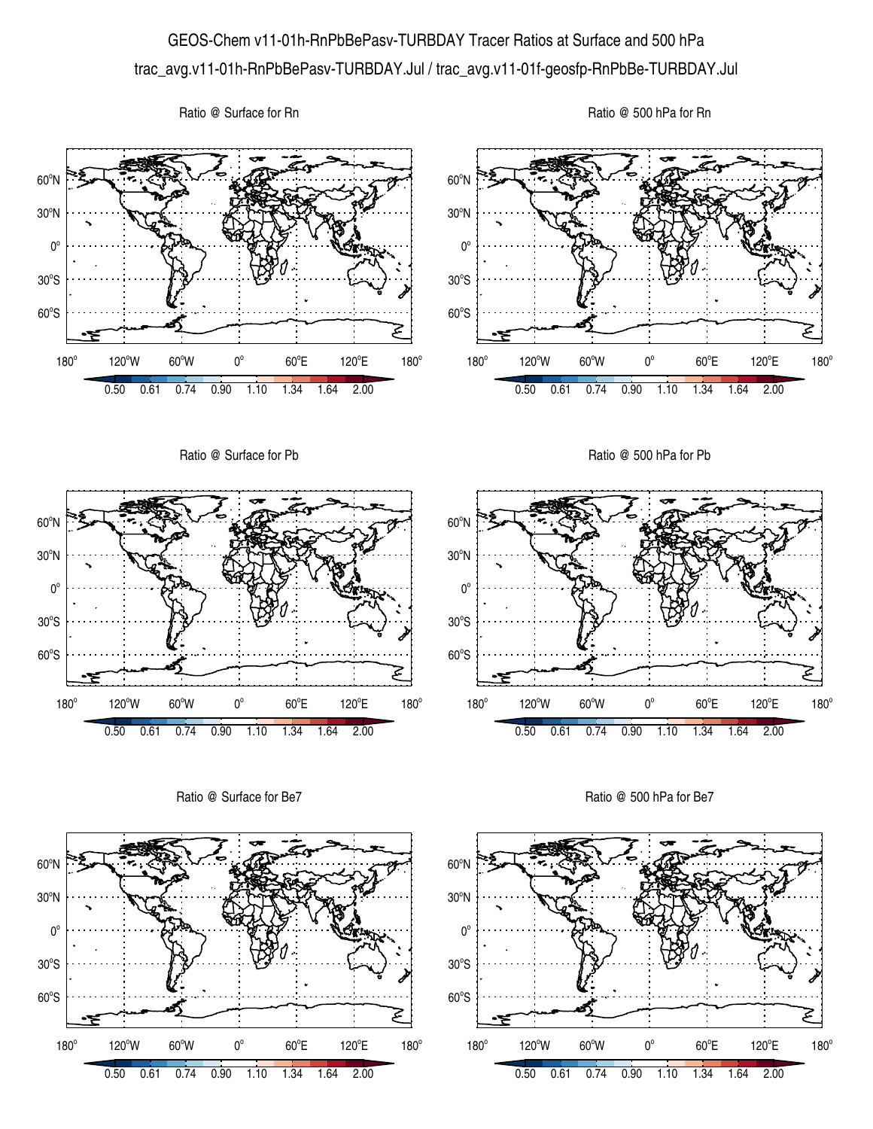## GEOS-Chem v11-01h-RnPbBePasv-TURBDAY Tracer Ratios at Surface and 500 hPa trac\_avg.v11-01h-RnPbBePasv-TURBDAY.Jul / trac\_avg.v11-01f-geosfp-RnPbBe-TURBDAY.Jul

Ratio @ Surface for Rn





Ratio @ Surface for Be7



Ratio @ 500 hPa for Be7